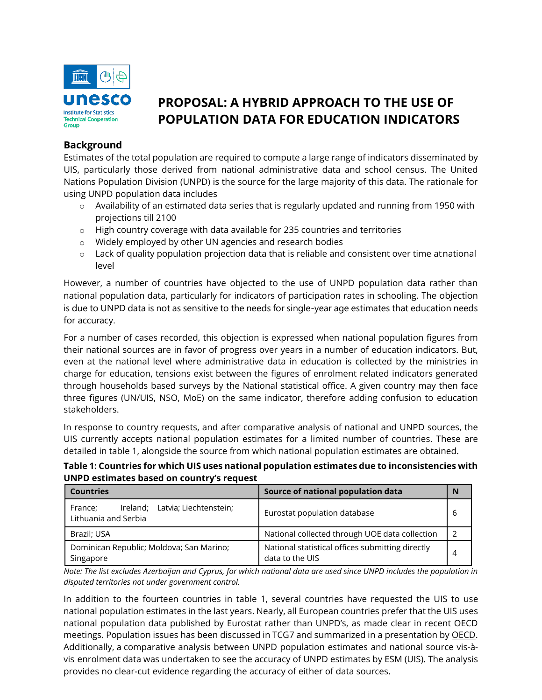

# **PROPOSAL: A HYBRID APPROACH TO THE USE OF POPULATION DATA FOR EDUCATION INDICATORS**

## **Background**

Estimates of the total population are required to compute a large range of indicators disseminated by UIS, particularly those derived from national administrative data and school census. The United Nations Population Division (UNPD) is the source for the large majority of this data. The rationale for using UNPD population data includes

- $\circ$  Availability of an estimated data series that is regularly updated and running from 1950 with projections till 2100
- $\circ$  High country coverage with data available for 235 countries and territories
- o Widely employed by other UN agencies and research bodies
- $\circ$  Lack of quality population projection data that is reliable and consistent over time atnational level

However, a number of countries have objected to the use of UNPD population data rather than national population data, particularly for indicators of participation rates in schooling. The objection is due to UNPD data is not as sensitive to the needs for single-year age estimates that education needs for accuracy.

For a number of cases recorded, this objection is expressed when national population figures from their national sources are in favor of progress over years in a number of education indicators. But, even at the national level where administrative data in education is collected by the ministries in charge for education, tensions exist between the figures of enrolment related indicators generated through households based surveys by the National statistical office. A given country may then face three figures (UN/UIS, NSO, MoE) on the same indicator, therefore adding confusion to education stakeholders.

In response to country requests, and after comparative analysis of national and UNPD sources, the UIS currently accepts national population estimates for a limited number of countries. These are detailed in table 1, alongside the source from which national population estimates are obtained.

**Table 1: Countries for which UIS uses national population estimates due to inconsistencies with UNPD estimates based on country's request**

| <b>Countries</b>                                                   | Source of national population data                                  | N |
|--------------------------------------------------------------------|---------------------------------------------------------------------|---|
| Ireland; Latvia; Liechtenstein;<br>France:<br>Lithuania and Serbia | Eurostat population database                                        | b |
| Brazil; USA                                                        | National collected through UOE data collection                      |   |
| Dominican Republic; Moldova; San Marino;<br>Singapore              | National statistical offices submitting directly<br>data to the UIS | 4 |

*Note: The list excludes Azerbaijan and Cyprus, for which national data are used since UNPD includes the population in disputed territories not under government control.*

In addition to the fourteen countries in table 1, several countries have requested the UIS to use national population estimates in the last years. Nearly, all European countries prefer that the UIS uses national population data published by Eurostat rather than UNPD's, as made clear in recent OECD meetings. Population issues has been discussed in TCG7 and summarized in a presentation by [OECD.](http://tcg.uis.unesco.org/wp-content/uploads/sites/4/2020/10/TCG-7-I-3-Population-Data-Sources-for-SDG-Indicator-Calculations.pdf) Additionally, a comparative analysis between UNPD population estimates and national source vis-àvis enrolment data was undertaken to see the accuracy of UNPD estimates by ESM (UIS). The analysis provides no clear-cut evidence regarding the accuracy of either of data sources.